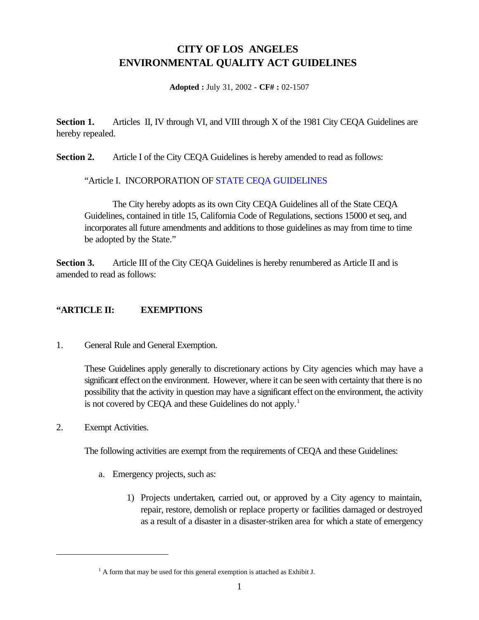## **CITY OF LOS ANGELES ENVIRONMENTAL QUALITY ACT GUIDELINES**

**Adopted :** July 31, 2002 - **CF# :** 02-1507

**Section 1.** Articles II, IV through VI, and VIII through X of the 1981 City CEQA Guidelines are hereby repealed.

**Section 2.** Article I of the City CEQA Guidelines is hereby amended to read as follows:

"Article I. INCORPORATION OF [STATE CEQA GUIDELINES](http://ceres.ca.gov/topic/env_law/ceqa/guidelines/)

The City hereby adopts as its own City CEQA Guidelines all of the State CEQA Guidelines, contained in title 15, California Code of Regulations, sections 15000 et seq, and incorporates all future amendments and additions to those guidelines as may from time to time be adopted by the State."

**Section 3.** Article III of the City CEQA Guidelines is hereby renumbered as Article II and is amended to read as follows:

## **"ARTICLE II: EXEMPTIONS**

1. General Rule and General Exemption.

These Guidelines apply generally to discretionary actions by City agencies which may have a significant effect on the environment. However, where it can be seen with certainty that there is no possibility that the activity in question may have a significant effect on the environment, the activity is not covered by CEQA and these Guidelines do not apply.<sup>1</sup>

2. Exempt Activities.

The following activities are exempt from the requirements of CEQA and these Guidelines:

- a. Emergency projects, such as:
	- 1) Projects undertaken, carried out, or approved by a City agency to maintain, repair, restore, demolish or replace property or facilities damaged or destroyed as a result of a disaster in a disaster-striken area for which a state of emergency

 $<sup>1</sup>$  A form that may be used for this general exemption is attached as Exhibit J.</sup>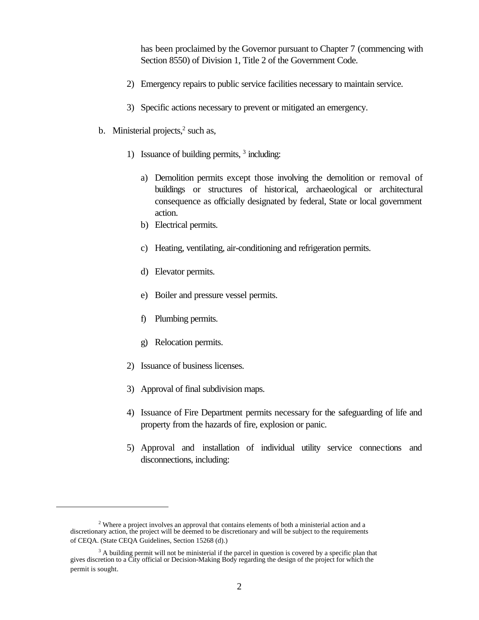has been proclaimed by the Governor pursuant to Chapter 7 (commencing with Section 8550) of Division 1, Title 2 of the Government Code.

- 2) Emergency repairs to public service facilities necessary to maintain service.
- 3) Specific actions necessary to prevent or mitigated an emergency.
- b. Ministerial projects, $2$  such as,
	- 1) Issuance of building permits, <sup>3</sup> including:
		- a) Demolition permits except those involving the demolition or removal of buildings or structures of historical, archaeological or architectural consequence as officially designated by federal, State or local government action.
		- b) Electrical permits.
		- c) Heating, ventilating, air-conditioning and refrigeration permits.
		- d) Elevator permits.
		- e) Boiler and pressure vessel permits.
		- f) Plumbing permits.
		- g) Relocation permits.
	- 2) Issuance of business licenses.
	- 3) Approval of final subdivision maps.
	- 4) Issuance of Fire Department permits necessary for the safeguarding of life and property from the hazards of fire, explosion or panic.
	- 5) Approval and installation of individual utility service connections and disconnections, including:

 $2$  Where a project involves an approval that contains elements of both a ministerial action and a discretionary action, the project will be deemed to be discretionary and will be subject to the requirements of CEQA. (State CEQA Guidelines, Section 15268 (d).)

 $3$  A building permit will not be ministerial if the parcel in question is covered by a specific plan that gives discretion to a City official or Decision-Making Body regarding the design of the project for which the permit is sought.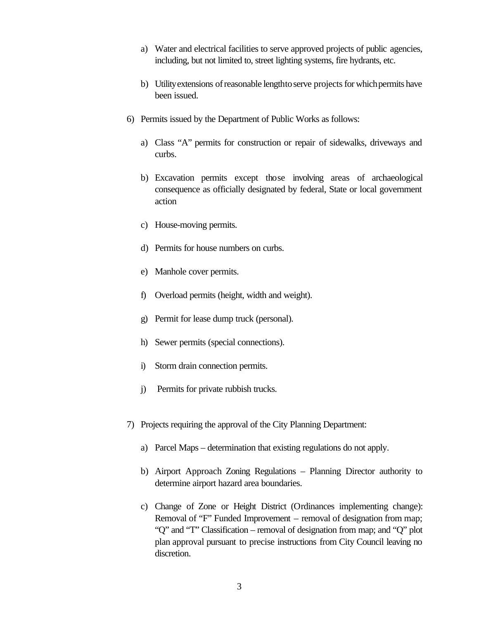- a) Water and electrical facilities to serve approved projects of public agencies, including, but not limited to, street lighting systems, fire hydrants, etc.
- b) Utility extensions of reasonable lengthto serve projects for which permits have been issued.
- 6) Permits issued by the Department of Public Works as follows:
	- a) Class "A" permits for construction or repair of sidewalks, driveways and curbs.
	- b) Excavation permits except those involving areas of archaeological consequence as officially designated by federal, State or local government action
	- c) House-moving permits.
	- d) Permits for house numbers on curbs.
	- e) Manhole cover permits.
	- f) Overload permits (height, width and weight).
	- g) Permit for lease dump truck (personal).
	- h) Sewer permits (special connections).
	- i) Storm drain connection permits.
	- j) Permits for private rubbish trucks.
- 7) Projects requiring the approval of the City Planning Department:
	- a) Parcel Maps determination that existing regulations do not apply.
	- b) Airport Approach Zoning Regulations Planning Director authority to determine airport hazard area boundaries.
	- c) Change of Zone or Height District (Ordinances implementing change): Removal of "F" Funded Improvement – removal of designation from map; "Q" and "T" Classification – removal of designation from map; and "Q" plot plan approval pursuant to precise instructions from City Council leaving no discretion.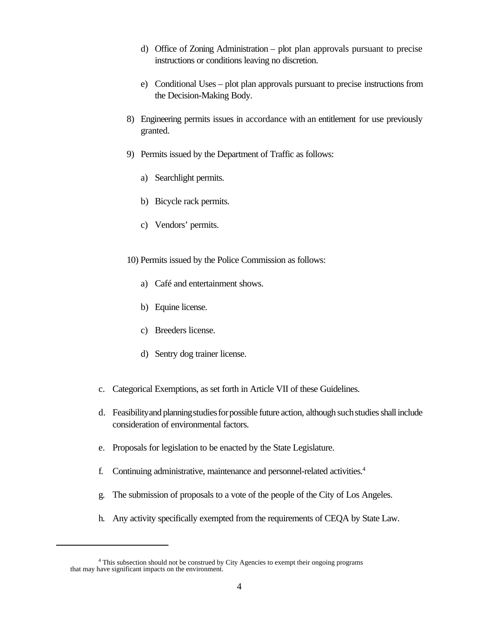- d) Office of Zoning Administration plot plan approvals pursuant to precise instructions or conditions leaving no discretion.
- e) Conditional Uses plot plan approvals pursuant to precise instructions from the Decision-Making Body.
- 8) Engineering permits issues in accordance with an entitlement for use previously granted.
- 9) Permits issued by the Department of Traffic as follows:
	- a) Searchlight permits.
	- b) Bicycle rack permits.
	- c) Vendors' permits.
- 10) Permits issued by the Police Commission as follows:
	- a) Café and entertainment shows.
	- b) Equine license.
	- c) Breeders license.
	- d) Sentry dog trainer license.
- c. Categorical Exemptions, as set forth in Article VII of these Guidelines.
- d. Feasibility and planning studies for possible future action, although such studies shall include consideration of environmental factors.
- e. Proposals for legislation to be enacted by the State Legislature.
- f. Continuing administrative, maintenance and personnel-related activities.<sup>4</sup>
- g. The submission of proposals to a vote of the people of the City of Los Angeles.
- h. Any activity specifically exempted from the requirements of CEQA by State Law.

<sup>&</sup>lt;sup>4</sup> This subsection should not be construed by City Agencies to exempt their ongoing programs that may have significant impacts on the environment.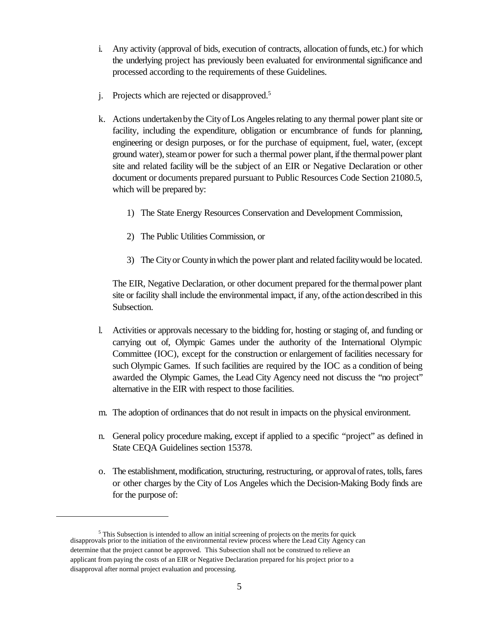- i. Any activity (approval of bids, execution of contracts, allocation offunds, etc.) for which the underlying project has previously been evaluated for environmental significance and processed according to the requirements of these Guidelines.
- j. Projects which are rejected or disapproved.<sup>5</sup>
- k. Actions undertaken by the City of Los Angeles relating to any thermal power plant site or facility, including the expenditure, obligation or encumbrance of funds for planning, engineering or design purposes, or for the purchase of equipment, fuel, water, (except ground water), steam or power for such a thermal power plant, if the thermal power plant site and related facility will be the subject of an EIR or Negative Declaration or other document or documents prepared pursuant to Public Resources Code Section 21080.5, which will be prepared by:
	- 1) The State Energy Resources Conservation and Development Commission,
	- 2) The Public Utilities Commission, or
	- 3) The Cityor Countyinwhich the power plant and related facilitywould be located.

The EIR, Negative Declaration, or other document prepared forthe thermalpower plant site or facility shall include the environmental impact, if any, ofthe actiondescribed in this Subsection.

- l. Activities or approvals necessary to the bidding for, hosting or staging of, and funding or carrying out of, Olympic Games under the authority of the International Olympic Committee (IOC), except for the construction or enlargement of facilities necessary for such Olympic Games. If such facilities are required by the IOC as a condition of being awarded the Olympic Games, the Lead City Agency need not discuss the "no project" alternative in the EIR with respect to those facilities.
- m. The adoption of ordinances that do not result in impacts on the physical environment.
- n. General policy procedure making, except if applied to a specific "project" as defined in State CEQA Guidelines section 15378.
- o. The establishment,modification, structuring, restructuring, or approvalofrates, tolls,fares or other charges by the City of Los Angeles which the Decision-Making Body finds are for the purpose of:

<sup>&</sup>lt;sup>5</sup> This Subsection is intended to allow an initial screening of projects on the merits for quick disapprovals prior to the initiation of the environmental review process where the Lead City Agency can determine that the project cannot be approved. This Subsection shall not be construed to relieve an applicant from paying the costs of an EIR or Negative Declaration prepared for his project prior to a disapproval after normal project evaluation and processing.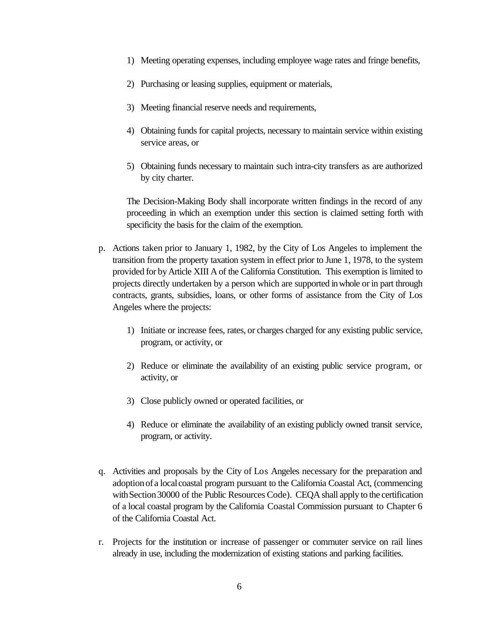- 1) Meeting operating expenses, including employee wage rates and fringe benefits,
- 2) Purchasing or leasing supplies, equipment or materials,
- 3) Meeting financial reserve needs and requirements,
- 4) Obtaining funds for capital projects, necessary to maintain service within existing service areas, or
- 5) Obtaining funds necessary to maintain such intra-city transfers as are authorized by city charter.

The Decision-Making Body shall incorporate written findings in the record of any proceeding in which an exemption under this section is claimed setting forth with specificity the basis for the claim of the exemption.

- p. Actions taken prior to January 1, 1982, by the City of Los Angeles to implement the transition from the property taxation system in effect prior to June 1, 1978, to the system provided for byArticle XIII A of the California Constitution. This exemption is limited to projects directly undertaken by a person which are supported inwhole or in part through contracts, grants, subsidies, loans, or other forms of assistance from the City of Los Angeles where the projects:
	- 1) Initiate or increase fees, rates, or charges charged for any existing public service, program, or activity, or
	- 2) Reduce or eliminate the availability of an existing public service program, or activity, or
	- 3) Close publicly owned or operated facilities, or
	- 4) Reduce or eliminate the availability of an existing publicly owned transit service, program, or activity.
- q. Activities and proposals by the City of Los Angeles necessary for the preparation and adoption of a local coastal program pursuant to the California Coastal Act, (commencing with Section 30000 of the Public Resources Code). CEQA shall apply to the certification of a local coastal program by the California Coastal Commission pursuant to Chapter 6 of the California Coastal Act.
- r. Projects for the institution or increase of passenger or commuter service on rail lines already in use, including the modernization of existing stations and parking facilities.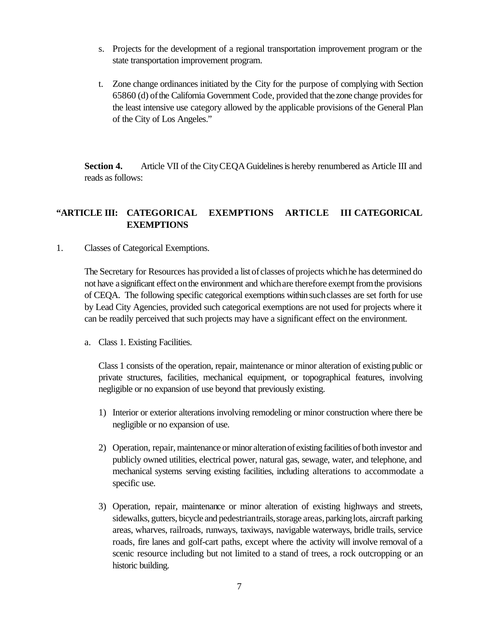- s. Projects for the development of a regional transportation improvement program or the state transportation improvement program.
- t. Zone change ordinances initiated by the City for the purpose of complying with Section 65860 (d) of the California Government Code, provided that the zone change provides for the least intensive use category allowed by the applicable provisions of the General Plan of the City of Los Angeles."

**Section 4.** Article VII of the City CEQA Guidelines is hereby renumbered as Article III and reads as follows:

## **"ARTICLE III: CATEGORICAL EXEMPTIONS ARTICLE III CATEGORICAL EXEMPTIONS**

1. Classes of Categorical Exemptions.

The Secretary for Resources has provided a list of classes of projects which he has determined do not have a significant effect on the environment and which are therefore exempt from the provisions of CEQA. The following specific categorical exemptions within such classes are set forth for use by Lead City Agencies, provided such categorical exemptions are not used for projects where it can be readily perceived that such projects may have a significant effect on the environment.

a. Class 1. Existing Facilities.

Class 1 consists of the operation, repair, maintenance or minor alteration of existing public or private structures, facilities, mechanical equipment, or topographical features, involving negligible or no expansion of use beyond that previously existing.

- 1) Interior or exterior alterations involving remodeling or minor construction where there be negligible or no expansion of use.
- 2) Operation, repair, maintenance or minor alteration of existing facilities of both investor and publicly owned utilities, electrical power, natural gas, sewage, water, and telephone, and mechanical systems serving existing facilities, including alterations to accommodate a specific use.
- 3) Operation, repair, maintenance or minor alteration of existing highways and streets, sidewalks, gutters, bicycle and pedestriantrails, storage areas, parking lots, aircraft parking areas, wharves, railroads, runways, taxiways, navigable waterways, bridle trails, service roads, fire lanes and golf-cart paths, except where the activity will involve removal of a scenic resource including but not limited to a stand of trees, a rock outcropping or an historic building.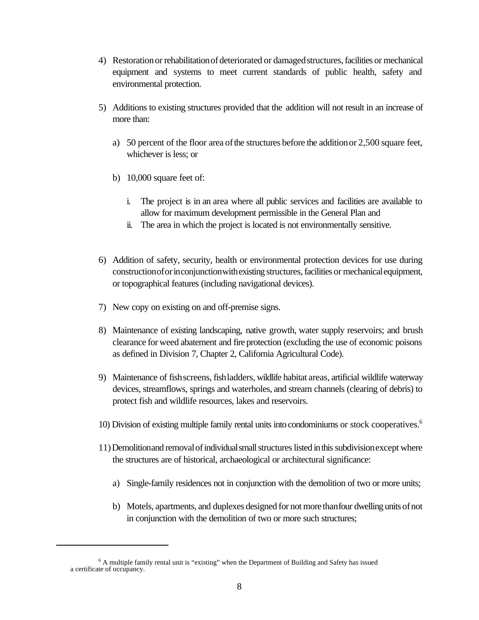- 4) Restoration or rehabilitation of deteriorated or damaged structures, facilities or mechanical equipment and systems to meet current standards of public health, safety and environmental protection.
- 5) Additions to existing structures provided that the addition will not result in an increase of more than:
	- a) 50 percent of the floor area ofthe structures before the additionor 2,500 square feet, whichever is less; or
	- b) 10,000 square feet of:
		- i. The project is in an area where all public services and facilities are available to allow for maximum development permissible in the General Plan and
		- ii. The area in which the project is located is not environmentally sensitive.
- 6) Addition of safety, security, health or environmental protection devices for use during constructionoforinconjunctionwithexisting structures,facilities or mechanicalequipment, or topographical features (including navigational devices).
- 7) New copy on existing on and off-premise signs.
- 8) Maintenance of existing landscaping, native growth, water supply reservoirs; and brush clearance for weed abatement and fire protection (excluding the use of economic poisons as defined in Division 7, Chapter 2, California Agricultural Code).
- 9) Maintenance of fishscreens, fishladders, wildlife habitat areas, artificial wildlife waterway devices, streamflows, springs and waterholes, and stream channels (clearing of debris) to protect fish and wildlife resources, lakes and reservoirs.
- 10) Division of existing multiple family rental units into condominiums or stock cooperatives.<sup>6</sup>
- 11) Demolitionand removal of individual small structures listed in this subdivision except where the structures are of historical, archaeological or architectural significance:
	- a) Single-family residences not in conjunction with the demolition of two or more units;
	- b) Motels, apartments, and duplexes designed for not morethanfour dwelling units ofnot in conjunction with the demolition of two or more such structures;

 $6$  A multiple family rental unit is "existing" when the Department of Building and Safety has issued a certificate of occupancy.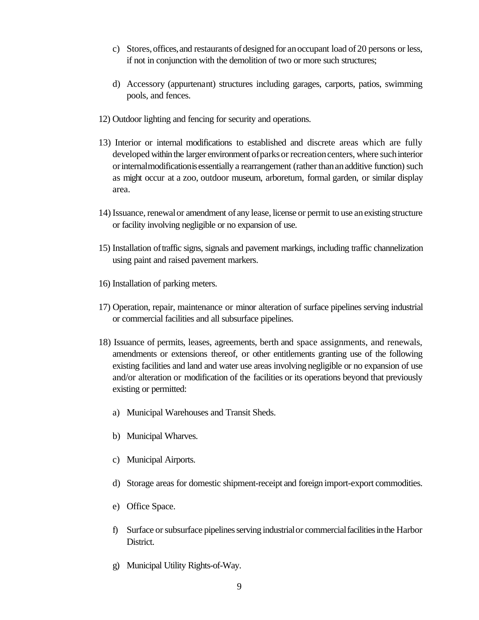- c) Stores, offices, and restaurants of designed for an occupant load of 20 persons or less, if not in conjunction with the demolition of two or more such structures;
- d) Accessory (appurtenant) structures including garages, carports, patios, swimming pools, and fences.
- 12) Outdoor lighting and fencing for security and operations.
- 13) Interior or internal modifications to established and discrete areas which are fully developed within the larger environment of parks or recreation centers, where such interior or internal modification is essentially a rearrangement (rather than an additive function) such as might occur at a zoo, outdoor museum, arboretum, formal garden, or similar display area.
- 14) Issuance, renewal or amendment of any lease, license or permit to use an existing structure or facility involving negligible or no expansion of use.
- 15) Installation oftraffic signs, signals and pavement markings, including traffic channelization using paint and raised pavement markers.
- 16) Installation of parking meters.
- 17) Operation, repair, maintenance or minor alteration of surface pipelines serving industrial or commercial facilities and all subsurface pipelines.
- 18) Issuance of permits, leases, agreements, berth and space assignments, and renewals, amendments or extensions thereof, or other entitlements granting use of the following existing facilities and land and water use areas involving negligible or no expansion of use and/or alteration or modification of the facilities or its operations beyond that previously existing or permitted:
	- a) Municipal Warehouses and Transit Sheds.
	- b) Municipal Wharves.
	- c) Municipal Airports.
	- d) Storage areas for domestic shipment-receipt and foreign import-export commodities.
	- e) Office Space.
	- f) Surface or subsurface pipelines serving industrial or commercial facilities in the Harbor District.
	- g) Municipal Utility Rights-of-Way.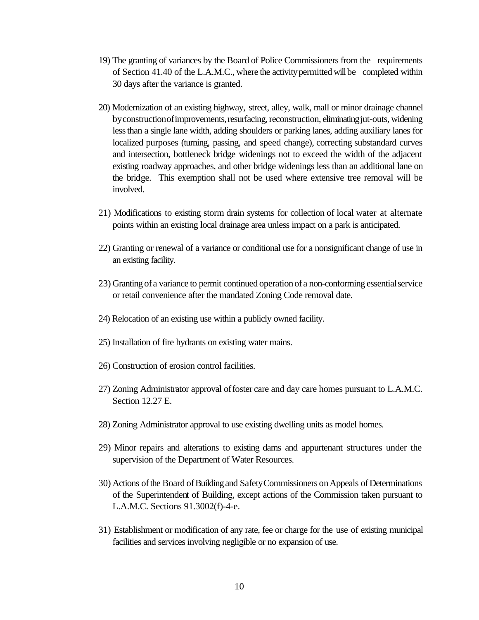- 19) The granting of variances by the Board of Police Commissioners from the requirements of Section 41.40 of the L.A.M.C., where the activitypermitted willbe completed within 30 days after the variance is granted.
- 20) Modernization of an existing highway, street, alley, walk, mall or minor drainage channel by construction of improvements, resurfacing, reconstruction, eliminating jut-outs, widening lessthan a single lane width, adding shoulders or parking lanes, adding auxiliary lanes for localized purposes (turning, passing, and speed change), correcting substandard curves and intersection, bottleneck bridge widenings not to exceed the width of the adjacent existing roadway approaches, and other bridge widenings less than an additional lane on the bridge. This exemption shall not be used where extensive tree removal will be involved.
- 21) Modifications to existing storm drain systems for collection of local water at alternate points within an existing local drainage area unless impact on a park is anticipated.
- 22) Granting or renewal of a variance or conditional use for a nonsignificant change of use in an existing facility.
- 23) Granting of a variance to permit continued operationof a non-conforming essentialservice or retail convenience after the mandated Zoning Code removal date.
- 24) Relocation of an existing use within a publicly owned facility.
- 25) Installation of fire hydrants on existing water mains.
- 26) Construction of erosion control facilities.
- 27) Zoning Administrator approval offoster care and day care homes pursuant to L.A.M.C. Section 12.27 E.
- 28) Zoning Administrator approval to use existing dwelling units as model homes.
- 29) Minor repairs and alterations to existing dams and appurtenant structures under the supervision of the Department of Water Resources.
- 30) Actions ofthe Board ofBuildingand SafetyCommissioners onAppeals ofDeterminations of the Superintendent of Building, except actions of the Commission taken pursuant to L.A.M.C. Sections 91.3002(f)-4-e.
- 31) Establishment or modification of any rate, fee or charge for the use of existing municipal facilities and services involving negligible or no expansion of use.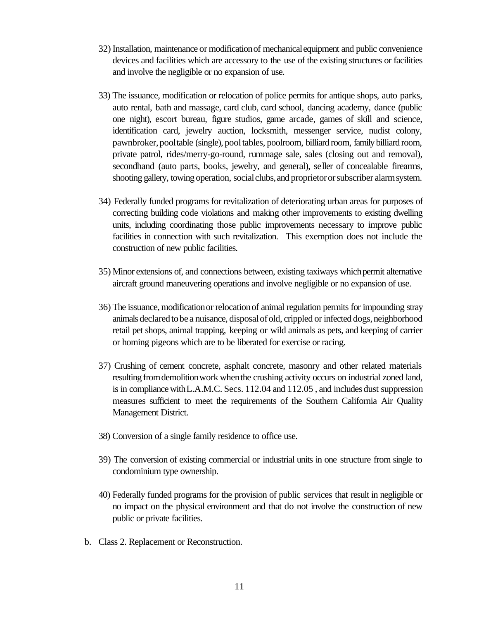- 32) Installation, maintenance or modificationof mechanicalequipment and public convenience devices and facilities which are accessory to the use of the existing structures or facilities and involve the negligible or no expansion of use.
- 33) The issuance, modification or relocation of police permits for antique shops, auto parks, auto rental, bath and massage, card club, card school, dancing academy, dance (public one night), escort bureau, figure studios, game arcade, games of skill and science, identification card, jewelry auction, locksmith, messenger service, nudist colony, pawnbroker,pooltable (single), pooltables, poolroom, billiard room, familybilliard room, private patrol, rides/merry-go-round, rummage sale, sales (closing out and removal), secondhand (auto parts, books, jewelry, and general), seller of concealable firearms, shooting gallery, towing operation, social clubs, and proprietor or subscriber alarm system.
- 34) Federally funded programs for revitalization of deteriorating urban areas for purposes of correcting building code violations and making other improvements to existing dwelling units, including coordinating those public improvements necessary to improve public facilities in connection with such revitalization. This exemption does not include the construction of new public facilities.
- 35) Minor extensions of, and connections between, existing taxiways whichpermit alternative aircraft ground maneuvering operations and involve negligible or no expansion of use.
- 36) The issuance, modificationor relocationof animal regulation permits for impounding stray animals declared to be a nuisance, disposal of old, crippled or infected dogs, neighborhood retail pet shops, animal trapping, keeping or wild animals as pets, and keeping of carrier or homing pigeons which are to be liberated for exercise or racing.
- 37) Crushing of cement concrete, asphalt concrete, masonry and other related materials resulting from demolition work when the crushing activity occurs on industrial zoned land, is in compliancewithL.A.M.C. Secs. 112.04 and 112.05 , and includes dust suppression measures sufficient to meet the requirements of the Southern California Air Quality Management District.
- 38) Conversion of a single family residence to office use.
- 39) The conversion of existing commercial or industrial units in one structure from single to condominium type ownership.
- 40) Federally funded programs for the provision of public services that result in negligible or no impact on the physical environment and that do not involve the construction of new public or private facilities.
- b. Class 2. Replacement or Reconstruction.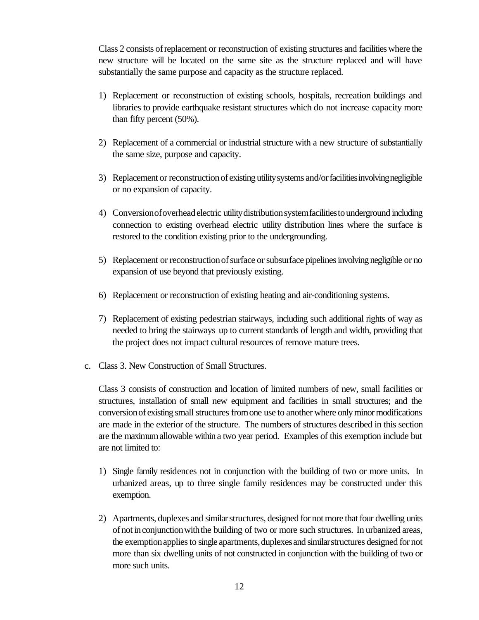Class 2 consists ofreplacement or reconstruction of existing structures and facilitieswhere the new structure will be located on the same site as the structure replaced and will have substantially the same purpose and capacity as the structure replaced.

- 1) Replacement or reconstruction of existing schools, hospitals, recreation buildings and libraries to provide earthquake resistant structures which do not increase capacity more than fifty percent (50%).
- 2) Replacement of a commercial or industrial structure with a new structure of substantially the same size, purpose and capacity.
- 3) Replacement or reconstruction of existing utility systems and/or facilities involving negligible or no expansion of capacity.
- 4) Conversionofoverheadelectric utilitydistributionsystemfacilitiestounderground including connection to existing overhead electric utility distribution lines where the surface is restored to the condition existing prior to the undergrounding.
- 5) Replacement or reconstruction of surface or subsurface pipelines involving negligible or no expansion of use beyond that previously existing.
- 6) Replacement or reconstruction of existing heating and air-conditioning systems.
- 7) Replacement of existing pedestrian stairways, including such additional rights of way as needed to bring the stairways up to current standards of length and width, providing that the project does not impact cultural resources of remove mature trees.
- c. Class 3. New Construction of Small Structures.

Class 3 consists of construction and location of limited numbers of new, small facilities or structures, installation of small new equipment and facilities in small structures; and the conversion of existing small structures from one use to another where only minor modifications are made in the exterior of the structure. The numbers of structures described in this section are the maximumallowable within a two year period. Examples of this exemption include but are not limited to:

- 1) Single family residences not in conjunction with the building of two or more units. In urbanized areas, up to three single family residences may be constructed under this exemption.
- 2) Apartments, duplexes and similar structures, designed for not more that four dwelling units ofnot inconjunctionwiththe building of two or more such structures. In urbanized areas, the exemption applies to single apartments, duplexes and similar structures designed for not more than six dwelling units of not constructed in conjunction with the building of two or more such units.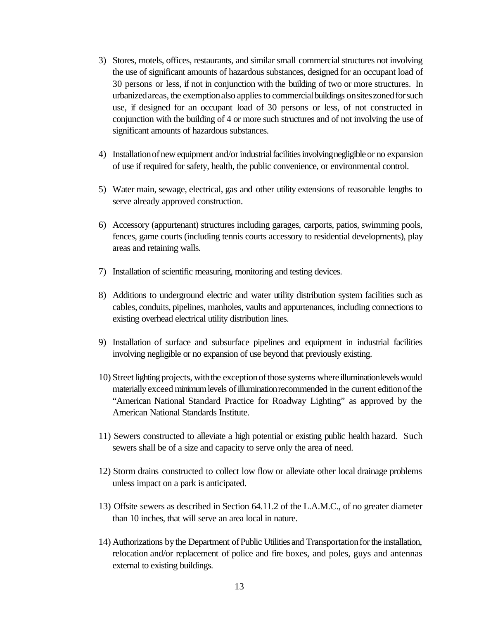- 3) Stores, motels, offices, restaurants, and similar small commercial structures not involving the use of significant amounts of hazardous substances, designed for an occupant load of 30 persons or less, if not in conjunction with the building of two or more structures. In urbanizedareas, the exemptionalso appliesto commercialbuildings onsiteszonedforsuch use, if designed for an occupant load of 30 persons or less, of not constructed in conjunction with the building of 4 or more such structures and of not involving the use of significant amounts of hazardous substances.
- 4) Installation of new equipment and/or industrial facilities involving negligible or no expansion of use if required for safety, health, the public convenience, or environmental control.
- 5) Water main, sewage, electrical, gas and other utility extensions of reasonable lengths to serve already approved construction.
- 6) Accessory (appurtenant) structures including garages, carports, patios, swimming pools, fences, game courts (including tennis courts accessory to residential developments), play areas and retaining walls.
- 7) Installation of scientific measuring, monitoring and testing devices.
- 8) Additions to underground electric and water utility distribution system facilities such as cables, conduits, pipelines, manholes, vaults and appurtenances, including connections to existing overhead electrical utility distribution lines.
- 9) Installation of surface and subsurface pipelines and equipment in industrial facilities involving negligible or no expansion of use beyond that previously existing.
- 10) Street lighting projects, with the exception of those systems where illuminationlevels would materially exceed minimum levels of illumination recommended in the current edition of the "American National Standard Practice for Roadway Lighting" as approved by the American National Standards Institute.
- 11) Sewers constructed to alleviate a high potential or existing public health hazard. Such sewers shall be of a size and capacity to serve only the area of need.
- 12) Storm drains constructed to collect low flow or alleviate other local drainage problems unless impact on a park is anticipated.
- 13) Offsite sewers as described in Section 64.11.2 of the L.A.M.C., of no greater diameter than 10 inches, that will serve an area local in nature.
- 14) Authorizations by the Department of Public Utilities and Transportation for the installation, relocation and/or replacement of police and fire boxes, and poles, guys and antennas external to existing buildings.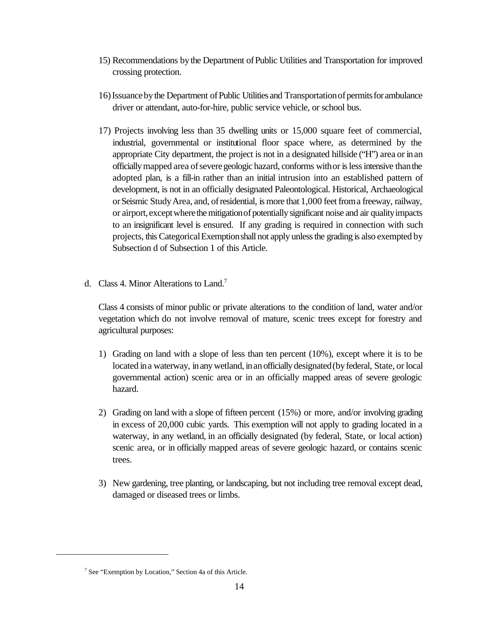- 15) Recommendations bythe Department ofPublic Utilities and Transportation for improved crossing protection.
- 16)Issuancebythe Department ofPublic Utilities and Transportationofpermitsforambulance driver or attendant, auto-for-hire, public service vehicle, or school bus.
- 17) Projects involving less than 35 dwelling units or 15,000 square feet of commercial, industrial, governmental or institutional floor space where, as determined by the appropriate City department, the project is not in a designated hillside ("H") area or inan officially mapped area of severe geologic hazard, conforms with or is less intensive than the adopted plan, is a fill-in rather than an initial intrusion into an established pattern of development, is not in an officially designated Paleontological. Historical, Archaeological orSeismic StudyArea, and, ofresidential, is more that 1,000 feetfroma freeway, railway, or airport, except where the mitigation of potentially significant noise and air quality impacts to an insignificant level is ensured. If any grading is required in connection with such projects, this CategoricalExemptionshall not apply unlessthe grading is also exempted by Subsection d of Subsection 1 of this Article.
- d. Class 4. Minor Alterations to Land.<sup>7</sup>

Class 4 consists of minor public or private alterations to the condition of land, water and/or vegetation which do not involve removal of mature, scenic trees except for forestry and agricultural purposes:

- 1) Grading on land with a slope of less than ten percent (10%), except where it is to be located in a waterway, in any wetland, in an officially designated (by federal, State, or local governmental action) scenic area or in an officially mapped areas of severe geologic hazard.
- 2) Grading on land with a slope of fifteen percent (15%) or more, and/or involving grading in excess of 20,000 cubic yards. This exemption will not apply to grading located in a waterway, in any wetland, in an officially designated (by federal, State, or local action) scenic area, or in officially mapped areas of severe geologic hazard, or contains scenic trees.
- 3) New gardening, tree planting, or landscaping, but not including tree removal except dead, damaged or diseased trees or limbs.

<sup>&</sup>lt;sup>7</sup> See "Exemption by Location," Section 4a of this Article.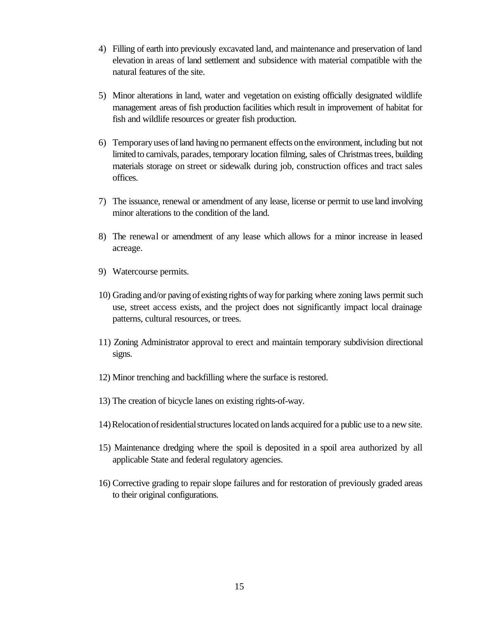- 4) Filling of earth into previously excavated land, and maintenance and preservation of land elevation in areas of land settlement and subsidence with material compatible with the natural features of the site.
- 5) Minor alterations in land, water and vegetation on existing officially designated wildlife management areas of fish production facilities which result in improvement of habitat for fish and wildlife resources or greater fish production.
- 6) Temporaryuses ofland having no permanent effects onthe environment, including but not limited to carnivals, parades, temporary location filming, sales of Christmas trees, building materials storage on street or sidewalk during job, construction offices and tract sales offices.
- 7) The issuance, renewal or amendment of any lease, license or permit to use land involving minor alterations to the condition of the land.
- 8) The renewal or amendment of any lease which allows for a minor increase in leased acreage.
- 9) Watercourse permits.
- 10) Grading and/or paving of existing rights ofwayfor parking where zoning laws permit such use, street access exists, and the project does not significantly impact local drainage patterns, cultural resources, or trees.
- 11) Zoning Administrator approval to erect and maintain temporary subdivision directional signs.
- 12) Minor trenching and backfilling where the surface is restored.
- 13) The creation of bicycle lanes on existing rights-of-way.
- 14)Relocationofresidentialstructureslocated onlands acquired for a public use to a new site.
- 15) Maintenance dredging where the spoil is deposited in a spoil area authorized by all applicable State and federal regulatory agencies.
- 16) Corrective grading to repair slope failures and for restoration of previously graded areas to their original configurations.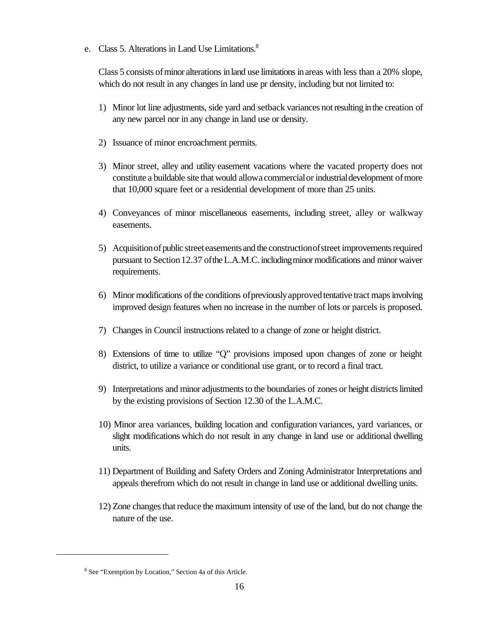e. Class 5. Alterations in Land Use Limitations.<sup>8</sup>

Class 5 consists of minor alterations in land use limitations in areas with less than a 20% slope, which do not result in any changes in land use pr density, including but not limited to:

- 1) Minor lot line adjustments, side yard and setback variances notresulting inthe creation of any new parcel nor in any change in land use or density.
- 2) Issuance of minor encroachment permits.
- 3) Minor street, alley and utility easement vacations where the vacated property does not constitute a buildable site that would allowa commercialor industrialdevelopment ofmore that 10,000 square feet or a residential development of more than 25 units.
- 4) Conveyances of minor miscellaneous easements, including street, alley or walkway easements.
- 5) Acquisition of public street easements and the construction of street improvements required pursuant to Section12.37 oftheL.A.M.C.includingminormodifications and minorwaiver requirements.
- 6) Minormodifications ofthe conditions ofpreviouslyapprovedtentative tract mapsinvolving improved design features when no increase in the number of lots or parcels is proposed.
- 7) Changes in Council instructions related to a change of zone or height district.
- 8) Extensions of time to utilize "Q" provisions imposed upon changes of zone or height district, to utilize a variance or conditional use grant, or to record a final tract.
- 9) Interpretations and minor adjustments to the boundaries of zones or height districts limited by the existing provisions of Section 12.30 of the L.A.M.C.
- 10) Minor area variances, building location and configuration variances, yard variances, or slight modifications which do not result in any change in land use or additional dwelling units.
- 11) Department of Building and Safety Orders and Zoning Administrator Interpretations and appeals therefrom which do not result in change in land use or additional dwelling units.
- 12) Zone changesthatreduce the maximum intensity of use of the land, but do not change the nature of the use.

<sup>8</sup> See "Exemption by Location," Section 4a of this Article.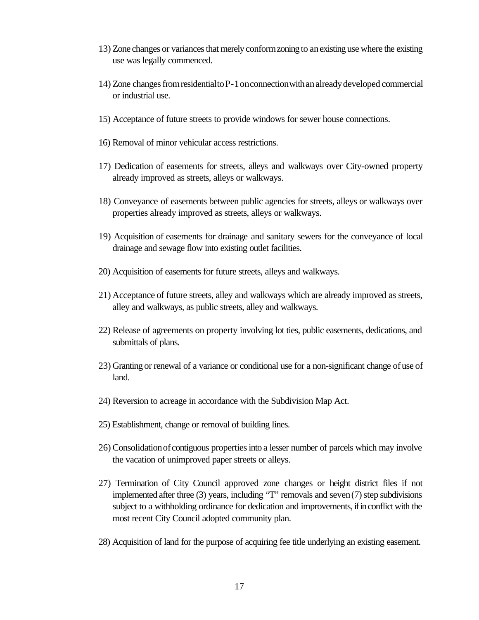- 13) Zone changes or variancesthat merely conformzoning to anexisting use where the existing use was legally commenced.
- 14) Zone changesfromresidentialtoP-1onconnectionwithanalreadydeveloped commercial or industrial use.
- 15) Acceptance of future streets to provide windows for sewer house connections.
- 16) Removal of minor vehicular access restrictions.
- 17) Dedication of easements for streets, alleys and walkways over City-owned property already improved as streets, alleys or walkways.
- 18) Conveyance of easements between public agencies for streets, alleys or walkways over properties already improved as streets, alleys or walkways.
- 19) Acquisition of easements for drainage and sanitary sewers for the conveyance of local drainage and sewage flow into existing outlet facilities.
- 20) Acquisition of easements for future streets, alleys and walkways.
- 21) Acceptance of future streets, alley and walkways which are already improved as streets, alley and walkways, as public streets, alley and walkways.
- 22) Release of agreements on property involving lot ties, public easements, dedications, and submittals of plans.
- 23) Granting or renewal of a variance or conditional use for a non-significant change ofuse of land.
- 24) Reversion to acreage in accordance with the Subdivision Map Act.
- 25) Establishment, change or removal of building lines.
- 26) Consolidation of contiguous properties into a lesser number of parcels which may involve the vacation of unimproved paper streets or alleys.
- 27) Termination of City Council approved zone changes or height district files if not implemented after three (3) years, including "T" removals and seven(7) step subdivisions subject to a withholding ordinance for dedication and improvements, if in conflict with the most recent City Council adopted community plan.
- 28) Acquisition of land for the purpose of acquiring fee title underlying an existing easement.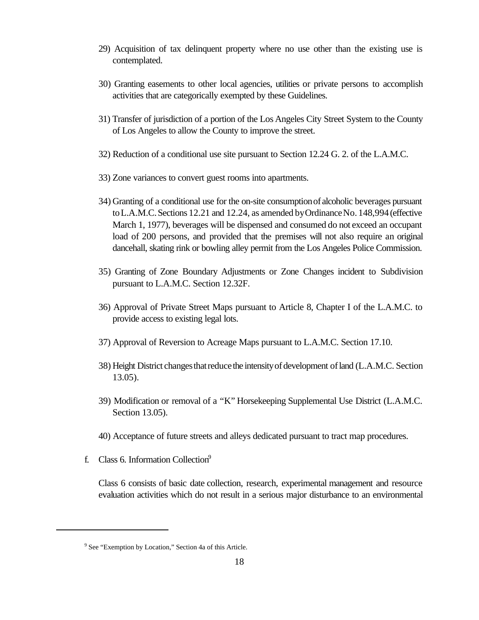- 29) Acquisition of tax delinquent property where no use other than the existing use is contemplated.
- 30) Granting easements to other local agencies, utilities or private persons to accomplish activities that are categorically exempted by these Guidelines.
- 31) Transfer of jurisdiction of a portion of the Los Angeles City Street System to the County of Los Angeles to allow the County to improve the street.
- 32) Reduction of a conditional use site pursuant to Section 12.24 G. 2. of the L.A.M.C.
- 33) Zone variances to convert guest rooms into apartments.
- 34) Granting of a conditional use for the on-site consumptionof alcoholic beverages pursuant toL.A.M.C.Sections 12.21 and 12.24, as amended byOrdinanceNo. 148,994(effective March 1, 1977), beverages will be dispensed and consumed do not exceed an occupant load of 200 persons, and provided that the premises will not also require an original dancehall, skating rink or bowling alley permit from the Los Angeles Police Commission.
- 35) Granting of Zone Boundary Adjustments or Zone Changes incident to Subdivision pursuant to L.A.M.C. Section 12.32F.
- 36) Approval of Private Street Maps pursuant to Article 8, Chapter I of the L.A.M.C. to provide access to existing legal lots.
- 37) Approval of Reversion to Acreage Maps pursuant to L.A.M.C. Section 17.10.
- 38) Height District changesthatreducethe intensityofdevelopment ofland (L.A.M.C. Section 13.05).
- 39) Modification or removal of a "K" Horsekeeping Supplemental Use District (L.A.M.C. Section 13.05).
- 40) Acceptance of future streets and alleys dedicated pursuant to tract map procedures.
- f. Class 6. Information Collection $9$

Class 6 consists of basic date collection, research, experimental management and resource evaluation activities which do not result in a serious major disturbance to an environmental

<sup>&</sup>lt;sup>9</sup> See "Exemption by Location," Section 4a of this Article.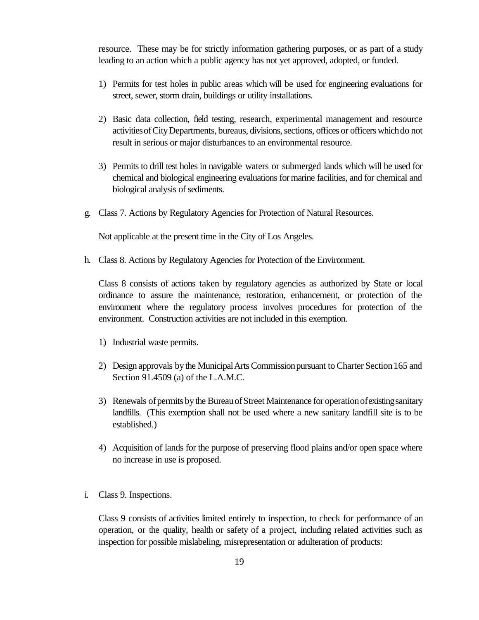resource. These may be for strictly information gathering purposes, or as part of a study leading to an action which a public agency has not yet approved, adopted, or funded.

- 1) Permits for test holes in public areas which will be used for engineering evaluations for street, sewer, storm drain, buildings or utility installations.
- 2) Basic data collection, field testing, research, experimental management and resource activitiesofCityDepartments, bureaus, divisions,sections, offices or officers whichdo not result in serious or major disturbances to an environmental resource.
- 3) Permits to drill test holes in navigable waters or submerged lands which will be used for chemical and biological engineering evaluations formarine facilities, and for chemical and biological analysis of sediments.
- g. Class 7. Actions by Regulatory Agencies for Protection of Natural Resources.

Not applicable at the present time in the City of Los Angeles.

h. Class 8. Actions by Regulatory Agencies for Protection of the Environment.

Class 8 consists of actions taken by regulatory agencies as authorized by State or local ordinance to assure the maintenance, restoration, enhancement, or protection of the environment where the regulatory process involves procedures for protection of the environment. Construction activities are not included in this exemption.

- 1) Industrial waste permits.
- 2) Design approvals bythe MunicipalArtsCommissionpursuant to Charter Section165 and Section 91.4509 (a) of the L.A.M.C.
- 3) Renewals of permits by the Bureau of Street Maintenance for operation of existing sanitary landfills. (This exemption shall not be used where a new sanitary landfill site is to be established.)
- 4) Acquisition of lands for the purpose of preserving flood plains and/or open space where no increase in use is proposed.
- i. Class 9. Inspections.

Class 9 consists of activities limited entirely to inspection, to check for performance of an operation, or the quality, health or safety of a project, including related activities such as inspection for possible mislabeling, misrepresentation or adulteration of products: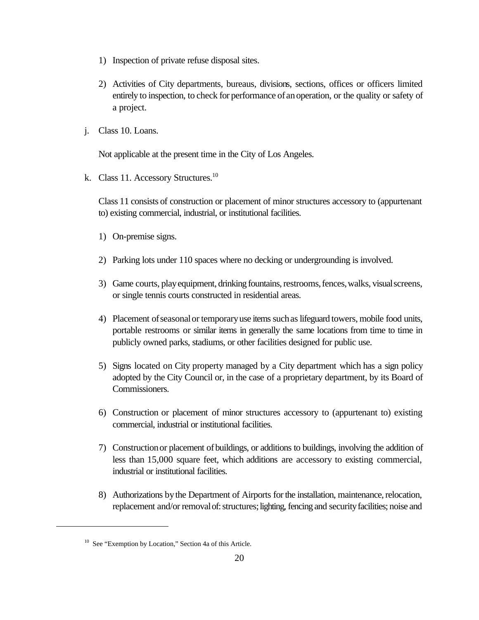- 1) Inspection of private refuse disposal sites.
- 2) Activities of City departments, bureaus, divisions, sections, offices or officers limited entirely to inspection, to check for performance of anoperation, or the quality or safety of a project.
- j. Class 10. Loans.

Not applicable at the present time in the City of Los Angeles.

k. Class 11. Accessory Structures.<sup>10</sup>

Class 11 consists of construction or placement of minor structures accessory to (appurtenant to) existing commercial, industrial, or institutional facilities.

- 1) On-premise signs.
- 2) Parking lots under 110 spaces where no decking or undergrounding is involved.
- 3) Game courts, play equipment, drinking fountains, restrooms, fences, walks, visual screens, or single tennis courts constructed in residential areas.
- 4) Placement of seasonal or temporary use items such as lifeguard towers, mobile food units, portable restrooms or similar items in generally the same locations from time to time in publicly owned parks, stadiums, or other facilities designed for public use.
- 5) Signs located on City property managed by a City department which has a sign policy adopted by the City Council or, in the case of a proprietary department, by its Board of Commissioners.
- 6) Construction or placement of minor structures accessory to (appurtenant to) existing commercial, industrial or institutional facilities.
- 7) Constructionor placement ofbuildings, or additions to buildings, involving the addition of less than 15,000 square feet, which additions are accessory to existing commercial, industrial or institutional facilities.
- 8) Authorizations by the Department of Airports for the installation, maintenance, relocation, replacement and/or removal of: structures; lighting, fencing and security facilities; noise and

<sup>&</sup>lt;sup>10</sup> See "Exemption by Location," Section 4a of this Article.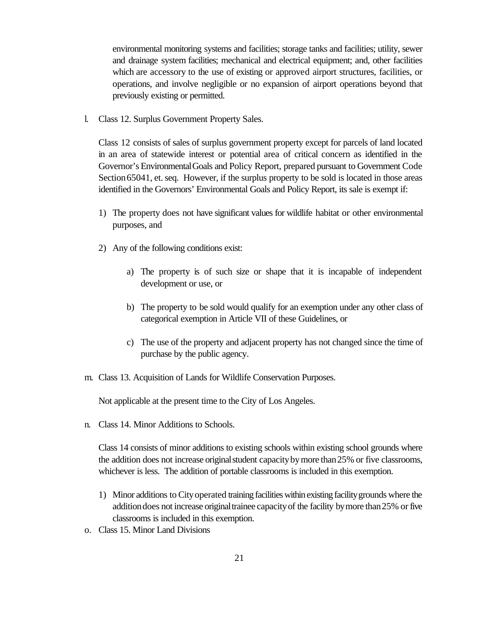environmental monitoring systems and facilities; storage tanks and facilities; utility, sewer and drainage system facilities; mechanical and electrical equipment; and, other facilities which are accessory to the use of existing or approved airport structures, facilities, or operations, and involve negligible or no expansion of airport operations beyond that previously existing or permitted.

l. Class 12. Surplus Government Property Sales.

Class 12 consists of sales of surplus government property except for parcels of land located in an area of statewide interest or potential area of critical concern as identified in the Governor's EnvironmentalGoals and Policy Report, prepared pursuant to Government Code Section 65041, et. seq. However, if the surplus property to be sold is located in those areas identified in the Governors' Environmental Goals and Policy Report, its sale is exempt if:

- 1) The property does not have significant values for wildlife habitat or other environmental purposes, and
- 2) Any of the following conditions exist:
	- a) The property is of such size or shape that it is incapable of independent development or use, or
	- b) The property to be sold would qualify for an exemption under any other class of categorical exemption in Article VII of these Guidelines, or
	- c) The use of the property and adjacent property has not changed since the time of purchase by the public agency.
- m. Class 13. Acquisition of Lands for Wildlife Conservation Purposes.

Not applicable at the present time to the City of Los Angeles.

n. Class 14. Minor Additions to Schools.

Class 14 consists of minor additions to existing schools within existing school grounds where the addition does not increase originalstudent capacitybymore than25% or five classrooms, whichever is less. The addition of portable classrooms is included in this exemption.

- 1) Minor additions to Cityoperated training facilitieswithin existing facilitygrounds where the additiondoes not increase originaltrainee capacityof the facility bymore than25% or five classrooms is included in this exemption.
- o. Class 15. Minor Land Divisions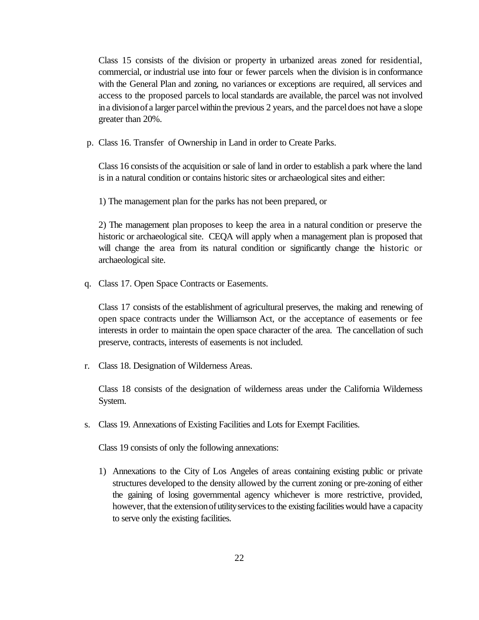Class 15 consists of the division or property in urbanized areas zoned for residential, commercial, or industrial use into four or fewer parcels when the division is in conformance with the General Plan and zoning, no variances or exceptions are required, all services and access to the proposed parcels to local standards are available, the parcel was not involved in a division of a larger parcel within the previous 2 years, and the parcel does not have a slope greater than 20%.

p. Class 16. Transfer of Ownership in Land in order to Create Parks.

Class 16 consists of the acquisition or sale of land in order to establish a park where the land is in a natural condition or contains historic sites or archaeological sites and either:

1) The management plan for the parks has not been prepared, or

2) The management plan proposes to keep the area in a natural condition or preserve the historic or archaeological site. CEQA will apply when a management plan is proposed that will change the area from its natural condition or significantly change the historic or archaeological site.

q. Class 17. Open Space Contracts or Easements.

Class 17 consists of the establishment of agricultural preserves, the making and renewing of open space contracts under the Williamson Act, or the acceptance of easements or fee interests in order to maintain the open space character of the area. The cancellation of such preserve, contracts, interests of easements is not included.

r. Class 18. Designation of Wilderness Areas.

Class 18 consists of the designation of wilderness areas under the California Wilderness System.

s. Class 19. Annexations of Existing Facilities and Lots for Exempt Facilities.

Class 19 consists of only the following annexations:

1) Annexations to the City of Los Angeles of areas containing existing public or private structures developed to the density allowed by the current zoning or pre-zoning of either the gaining of losing governmental agency whichever is more restrictive, provided, however, that the extension of utility services to the existing facilities would have a capacity to serve only the existing facilities.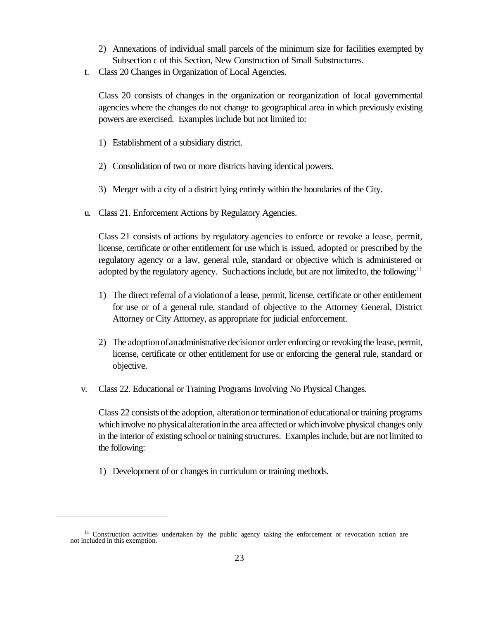- 2) Annexations of individual small parcels of the minimum size for facilities exempted by Subsection c of this Section, New Construction of Small Substructures.
- t. Class 20 Changes in Organization of Local Agencies.

Class 20 consists of changes in the organization or reorganization of local governmental agencies where the changes do not change to geographical area in which previously existing powers are exercised. Examples include but not limited to:

- 1) Establishment of a subsidiary district.
- 2) Consolidation of two or more districts having identical powers.
- 3) Merger with a city of a district lying entirely within the boundaries of the City.
- u. Class 21. Enforcement Actions by Regulatory Agencies.

Class 21 consists of actions by regulatory agencies to enforce or revoke a lease, permit, license, certificate or other entitlement for use which is issued, adopted or prescribed by the regulatory agency or a law, general rule, standard or objective which is administered or adopted by the regulatory agency. Such actions include, but are not limited to, the following: $11$ 

- 1) The direct referral of a violationof a lease, permit, license, certificate or other entitlement for use or of a general rule, standard of objective to the Attorney General, District Attorney or City Attorney, as appropriate for judicial enforcement.
- 2) The adoptionofanadministrative decisionor order enforcing or revoking the lease, permit, license, certificate or other entitlement for use or enforcing the general rule, standard or objective.
- v. Class 22. Educational or Training Programs Involving No Physical Changes.

Class 22 consists of the adoption, alteration or termination of educational or training programs which involve no physical alteration in the area affected or which involve physical changes only in the interior of existing schoolor training structures. Examples include, but are not limited to the following:

1) Development of or changes in curriculum or training methods.

 $11$  Construction activities undertaken by the public agency taking the enforcement or revocation action are not included in this exemption.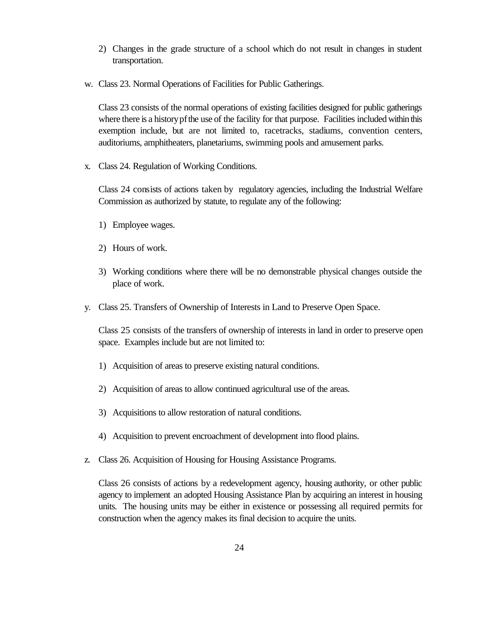- 2) Changes in the grade structure of a school which do not result in changes in student transportation.
- w. Class 23. Normal Operations of Facilities for Public Gatherings.

Class 23 consists of the normal operations of existing facilities designed for public gatherings where there is a history pf the use of the facility for that purpose. Facilities included within this exemption include, but are not limited to, racetracks, stadiums, convention centers, auditoriums, amphitheaters, planetariums, swimming pools and amusement parks.

x. Class 24. Regulation of Working Conditions.

Class 24 consists of actions taken by regulatory agencies, including the Industrial Welfare Commission as authorized by statute, to regulate any of the following:

- 1) Employee wages.
- 2) Hours of work.
- 3) Working conditions where there will be no demonstrable physical changes outside the place of work.
- y. Class 25. Transfers of Ownership of Interests in Land to Preserve Open Space.

Class 25 consists of the transfers of ownership of interests in land in order to preserve open space. Examples include but are not limited to:

- 1) Acquisition of areas to preserve existing natural conditions.
- 2) Acquisition of areas to allow continued agricultural use of the areas.
- 3) Acquisitions to allow restoration of natural conditions.
- 4) Acquisition to prevent encroachment of development into flood plains.
- z. Class 26. Acquisition of Housing for Housing Assistance Programs.

Class 26 consists of actions by a redevelopment agency, housing authority, or other public agency to implement an adopted Housing Assistance Plan by acquiring an interest in housing units. The housing units may be either in existence or possessing all required permits for construction when the agency makes its final decision to acquire the units.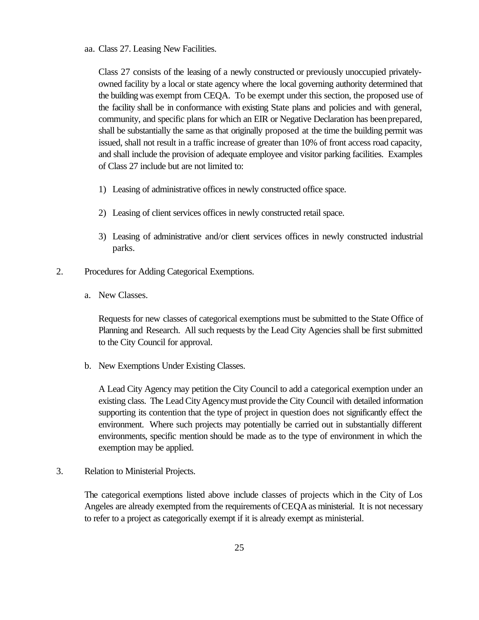aa. Class 27. Leasing New Facilities.

Class 27 consists of the leasing of a newly constructed or previously unoccupied privatelyowned facility by a local or state agency where the local governing authority determined that the building was exempt from CEQA. To be exempt under this section, the proposed use of the facility shall be in conformance with existing State plans and policies and with general, community, and specific plans for which an EIR or Negative Declaration has beenprepared, shall be substantially the same as that originally proposed at the time the building permit was issued, shall not result in a traffic increase of greater than 10% of front access road capacity, and shall include the provision of adequate employee and visitor parking facilities. Examples of Class 27 include but are not limited to:

- 1) Leasing of administrative offices in newly constructed office space.
- 2) Leasing of client services offices in newly constructed retail space.
- 3) Leasing of administrative and/or client services offices in newly constructed industrial parks.
- 2. Procedures for Adding Categorical Exemptions.
	- a. New Classes.

Requests for new classes of categorical exemptions must be submitted to the State Office of Planning and Research. All such requests by the Lead City Agencies shall be first submitted to the City Council for approval.

b. New Exemptions Under Existing Classes.

A Lead City Agency may petition the City Council to add a categorical exemption under an existing class. The Lead City Agency must provide the City Council with detailed information supporting its contention that the type of project in question does not significantly effect the environment. Where such projects may potentially be carried out in substantially different environments, specific mention should be made as to the type of environment in which the exemption may be applied.

3. Relation to Ministerial Projects.

The categorical exemptions listed above include classes of projects which in the City of Los Angeles are already exempted from the requirements ofCEQAas ministerial. It is not necessary to refer to a project as categorically exempt if it is already exempt as ministerial.